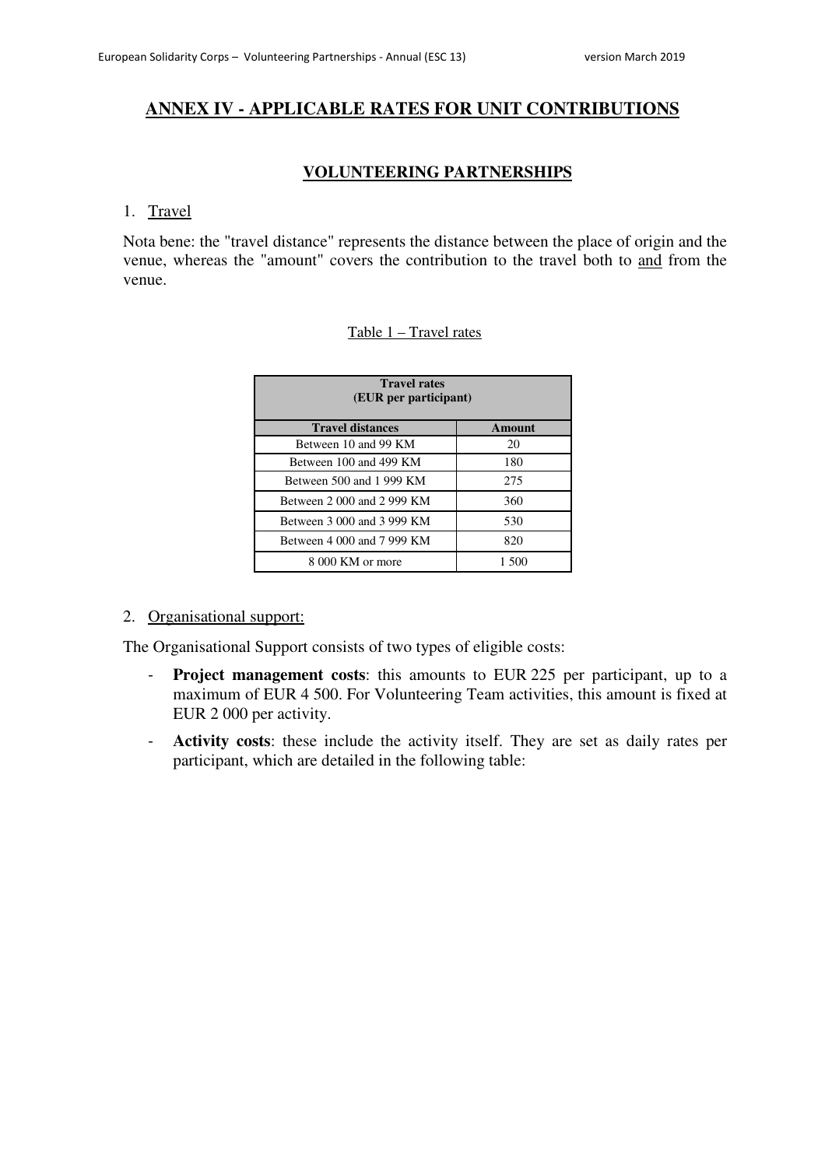# **ANNEX IV - APPLICABLE RATES FOR UNIT CONTRIBUTIONS**

# **VOLUNTEERING PARTNERSHIPS**

#### 1. Travel

Nota bene: the "travel distance" represents the distance between the place of origin and the venue, whereas the "amount" covers the contribution to the travel both to and from the venue.

## Table 1 – Travel rates

| <b>Travel rates</b><br>(EUR per participant) |               |
|----------------------------------------------|---------------|
| <b>Travel distances</b>                      | <b>Amount</b> |
| Between 10 and 99 KM                         | 20            |
| Between 100 and 499 KM                       | 180           |
| Between 500 and 1 999 KM                     | 275           |
| Between 2 000 and 2 999 KM                   | 360           |
| Between 3 000 and 3 999 KM                   | 530           |
| Between 4 000 and 7 999 KM                   | 820           |
| 8 000 KM or more                             | 1.500         |

## 2. Organisational support:

The Organisational Support consists of two types of eligible costs:

- **Project management costs**: this amounts to EUR 225 per participant, up to a maximum of EUR 4 500. For Volunteering Team activities, this amount is fixed at EUR 2 000 per activity.
- **Activity costs**: these include the activity itself. They are set as daily rates per participant, which are detailed in the following table: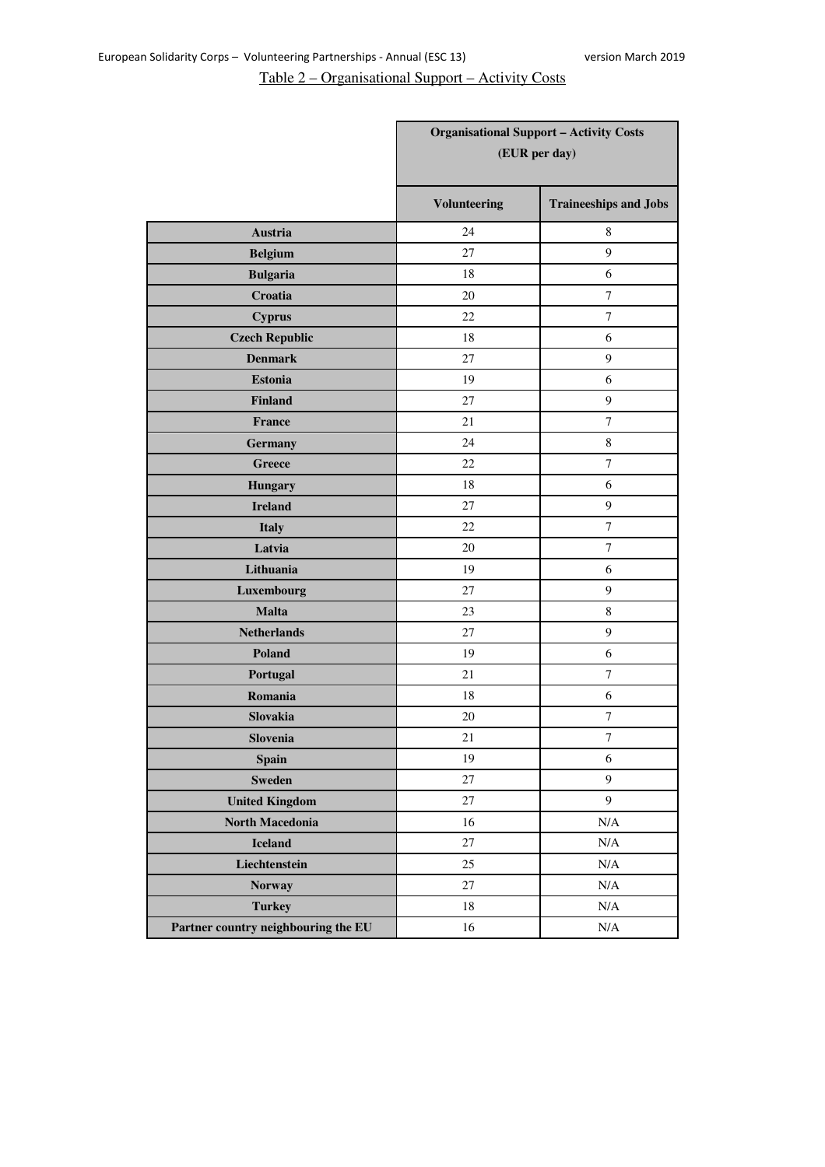# Table 2 – Organisational Support – Activity Costs

|                                     |                     | <b>Organisational Support - Activity Costs</b> |
|-------------------------------------|---------------------|------------------------------------------------|
|                                     |                     | (EUR per day)                                  |
|                                     |                     |                                                |
|                                     | <b>Volunteering</b> | <b>Traineeships and Jobs</b>                   |
| Austria                             | 24                  | 8                                              |
| <b>Belgium</b>                      | 27                  | 9                                              |
| <b>Bulgaria</b>                     | 18                  | 6                                              |
| Croatia                             | 20                  | $\tau$                                         |
| <b>Cyprus</b>                       | 22                  | 7                                              |
| <b>Czech Republic</b>               | 18                  | 6                                              |
| <b>Denmark</b>                      | 27                  | 9                                              |
| <b>Estonia</b>                      | 19                  | 6                                              |
| <b>Finland</b>                      | 27                  | 9                                              |
| France                              | 21                  | $\overline{7}$                                 |
| <b>Germany</b>                      | 24                  | 8                                              |
| <b>Greece</b>                       | 22                  | $\tau$                                         |
| <b>Hungary</b>                      | 18                  | 6                                              |
| <b>Ireland</b>                      | 27                  | 9                                              |
| <b>Italy</b>                        | 22                  | $\tau$                                         |
| Latvia                              | 20                  | 7                                              |
| Lithuania                           | 19                  | 6                                              |
| Luxembourg                          | 27                  | 9                                              |
| <b>Malta</b>                        | 23                  | $\,8\,$                                        |
| <b>Netherlands</b>                  | 27                  | 9                                              |
| Poland                              | 19                  | 6                                              |
| Portugal                            | 21                  | $\tau$                                         |
| Romania                             | 18                  | 6                                              |
| Slovakia                            | 20                  | $\tau$                                         |
| Slovenia                            | 21                  | $\overline{7}$                                 |
| Spain                               | 19                  | 6                                              |
| <b>Sweden</b>                       | $27\,$              | 9                                              |
| <b>United Kingdom</b>               | $27\,$              | 9                                              |
| <b>North Macedonia</b>              | 16                  | $\rm N/A$                                      |
| <b>Iceland</b>                      | $27\,$              | $\rm N/A$                                      |
| Liechtenstein                       | 25                  | N/A                                            |
| <b>Norway</b>                       | 27                  | $\rm N/A$                                      |
| <b>Turkey</b>                       | $18\,$              | $\rm N/A$                                      |
| Partner country neighbouring the EU | 16                  | $\rm N/A$                                      |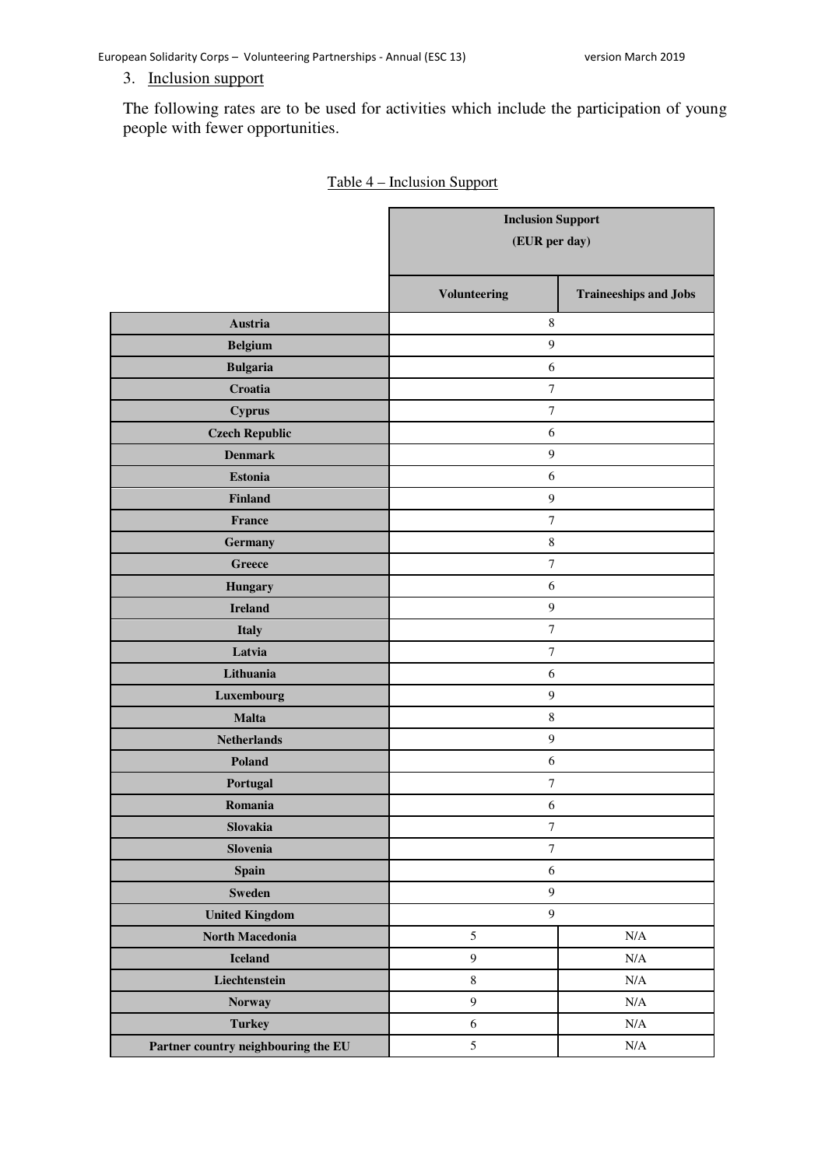# 3. Inclusion support

The following rates are to be used for activities which include the participation of young people with fewer opportunities.

|                                     | <b>Inclusion Support</b><br>(EUR per day) |                              |
|-------------------------------------|-------------------------------------------|------------------------------|
|                                     | <b>Volunteering</b>                       | <b>Traineeships and Jobs</b> |
| <b>Austria</b>                      | $\,$ 8 $\,$                               |                              |
| <b>Belgium</b>                      | $\overline{9}$                            |                              |
| <b>Bulgaria</b>                     | 6                                         |                              |
| Croatia                             | $\boldsymbol{7}$                          |                              |
| <b>Cyprus</b>                       | $\boldsymbol{7}$                          |                              |
| <b>Czech Republic</b>               | 6                                         |                              |
| <b>Denmark</b>                      | $\overline{9}$                            |                              |
| <b>Estonia</b>                      | 6                                         |                              |
| <b>Finland</b>                      | $\overline{9}$                            |                              |
| France                              | $\overline{7}$                            |                              |
| <b>Germany</b>                      | $\,8\,$                                   |                              |
| <b>Greece</b>                       | $\boldsymbol{7}$                          |                              |
| <b>Hungary</b>                      | 6                                         |                              |
| <b>Ireland</b>                      | $\overline{9}$                            |                              |
| <b>Italy</b>                        | $\boldsymbol{7}$                          |                              |
| Latvia                              | $\boldsymbol{7}$                          |                              |
| Lithuania                           | 6                                         |                              |
| Luxembourg                          | $\overline{9}$                            |                              |
| <b>Malta</b>                        | $\,$ 8 $\,$                               |                              |
| <b>Netherlands</b>                  | $\overline{9}$                            |                              |
| Poland                              | 6                                         |                              |
| Portugal                            | $\tau$                                    |                              |
| Romania                             | 6                                         |                              |
| Slovakia                            | $\boldsymbol{7}$                          |                              |
| Slovenia                            | $\boldsymbol{7}$                          |                              |
| <b>Spain</b>                        | $\sqrt{6}$                                |                              |
| <b>Sweden</b>                       | $\boldsymbol{9}$                          |                              |
| <b>United Kingdom</b>               | $\overline{9}$                            |                              |
| North Macedonia                     | $\sqrt{5}$                                | $\rm N/A$                    |
| <b>Iceland</b>                      | $\boldsymbol{9}$                          | $\rm N/A$                    |
| Liechtenstein                       | $\,8\,$                                   | $\rm N/A$                    |
| <b>Norway</b>                       | 9                                         | $\rm N/A$                    |
| <b>Turkey</b>                       | $\sqrt{6}$                                | $\rm N/A$                    |
| Partner country neighbouring the EU | $\mathfrak s$                             | $\rm N/A$                    |

## Table 4 – Inclusion Support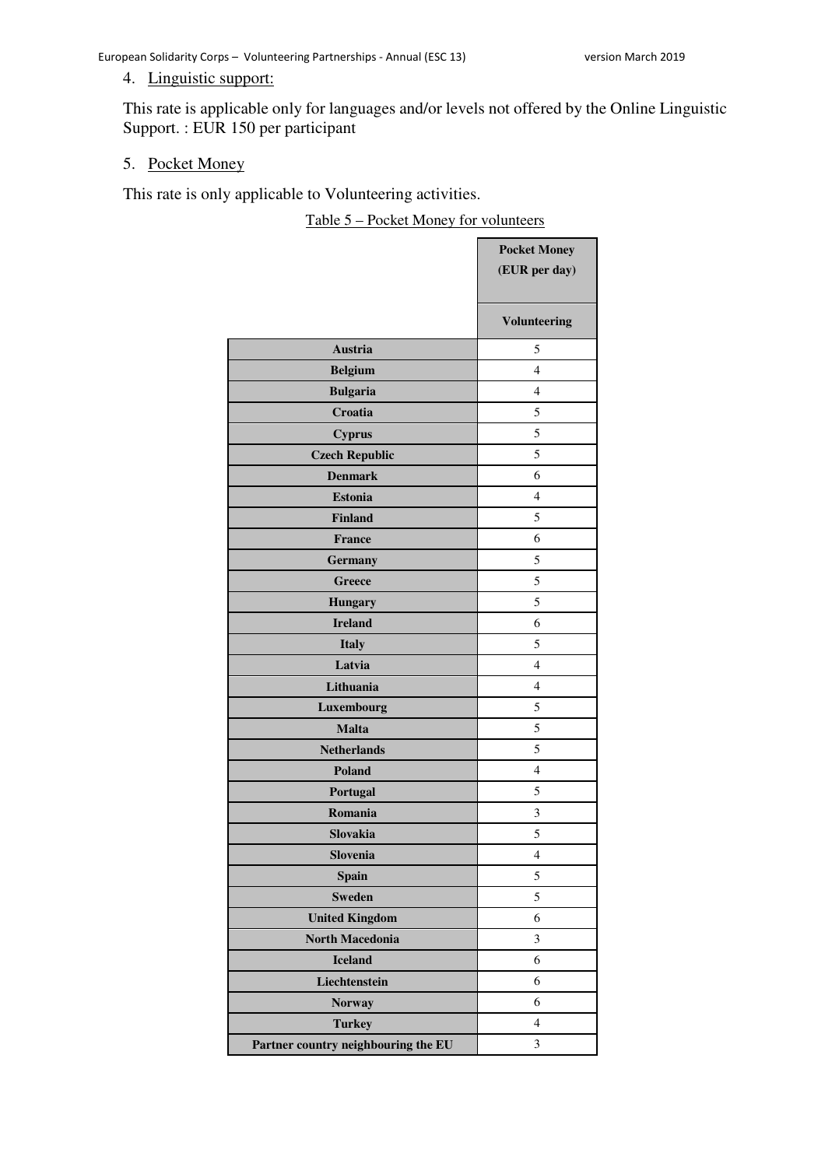## 4. Linguistic support:

This rate is applicable only for languages and/or levels not offered by the Online Linguistic Support. : EUR 150 per participant

#### 5. Pocket Money

This rate is only applicable to Volunteering activities.

Table 5 – Pocket Money for volunteers

|                                     | <b>Pocket Money</b> |
|-------------------------------------|---------------------|
|                                     | (EUR per day)       |
|                                     | <b>Volunteering</b> |
| Austria                             | 5                   |
| <b>Belgium</b>                      | $\overline{4}$      |
| <b>Bulgaria</b>                     | 4                   |
| Croatia                             | 5                   |
| <b>Cyprus</b>                       | 5                   |
| <b>Czech Republic</b>               | 5                   |
| <b>Denmark</b>                      | 6                   |
| <b>Estonia</b>                      | $\overline{4}$      |
| <b>Finland</b>                      | 5                   |
| <b>France</b>                       | 6                   |
| <b>Germany</b>                      | 5                   |
| Greece                              | 5                   |
| <b>Hungary</b>                      | 5                   |
| <b>Ireland</b>                      | 6                   |
| <b>Italy</b>                        | 5                   |
| Latvia                              | $\overline{4}$      |
| Lithuania                           | 4                   |
| Luxembourg                          | 5                   |
| <b>Malta</b>                        | 5                   |
| <b>Netherlands</b>                  | 5                   |
| <b>Poland</b>                       | $\overline{4}$      |
| Portugal                            | 5                   |
| Romania                             | 3                   |
| Slovakia                            | 5                   |
| Slovenia                            | $\overline{4}$      |
| <b>Spain</b>                        | 5                   |
| <b>Sweden</b>                       | 5                   |
| <b>United Kingdom</b>               | 6                   |
| <b>North Macedonia</b>              | 3                   |
| <b>Iceland</b>                      | 6                   |
| Liechtenstein                       | 6                   |
| <b>Norway</b>                       | 6                   |
| <b>Turkey</b>                       | $\overline{4}$      |
| Partner country neighbouring the EU | 3                   |